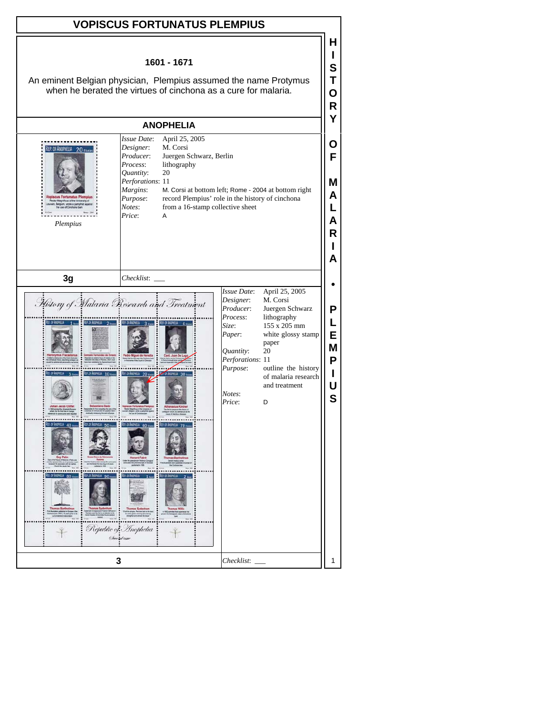| <b>VOPISCUS FORTUNATUS PLEMPIUS</b>                                                                                                                                                                                                                                                                                                                                                                                                                                        |                                                                                                                                                                                                                                                                                                                                |  |  |
|----------------------------------------------------------------------------------------------------------------------------------------------------------------------------------------------------------------------------------------------------------------------------------------------------------------------------------------------------------------------------------------------------------------------------------------------------------------------------|--------------------------------------------------------------------------------------------------------------------------------------------------------------------------------------------------------------------------------------------------------------------------------------------------------------------------------|--|--|
| н<br>1601 - 1671<br>S<br>An eminent Belgian physician, Plempius assumed the name Protymus<br>when he berated the virtues of cinchona as a cure for malaria.<br>O<br>R                                                                                                                                                                                                                                                                                                      |                                                                                                                                                                                                                                                                                                                                |  |  |
| <b>ANOPHELIA</b>                                                                                                                                                                                                                                                                                                                                                                                                                                                           |                                                                                                                                                                                                                                                                                                                                |  |  |
| Issue Date:<br>April 25, 2005<br>M. Corsi<br>Designer:<br>REP. OF ANOPHELIA<br>$20$ FBER<br>Producer:<br>Juergen Schwarz, Berlin<br>lithography<br>Process:<br>20<br>Quantity:<br>Perforations: 11<br>Margins:<br>M. Corsi at bottom left; Rome - 2004 at bottom right<br>opiscus Fortunatus Plempius<br>record Plempius' role in the history of cinchona<br>Purpose:<br><b>flous of the Univ</b><br>from a 16-stamp collective sheet<br>Notes:<br>Price:<br>A<br>Plempius |                                                                                                                                                                                                                                                                                                                                |  |  |
| 3g<br>$Checklist:$ $\_\$                                                                                                                                                                                                                                                                                                                                                                                                                                                   |                                                                                                                                                                                                                                                                                                                                |  |  |
| Mistory of Malaria Research and Treatment<br>FIND REP. OF ANOPHELIA<br>Ree, or Anon<br>2 From R.P. OF ANOTHELA<br>3 november 1997, OF ANDRE<br>$10$ mass<br>REP. OF ANOTHELIA<br><b>40 mm</b><br>REP. OF ANOMIELA 60 From<br><b>ISP. OF ANTHEIR</b><br>REP. OF ANOTHELIA<br>50m<br>70 <sub>II</sub><br>REP. OF ANOMELY<br>$90$ Form<br>$\ddot{\cdot}$<br><b>REP. OF ANOTHE</b><br>80 <sub>mm</sub><br>REP. OF ANOPHELA<br>Republic of Inophelia<br>Second time             | Issue Date:<br>April 25, 2005<br>M. Corsi<br>Designer:<br>Producer:<br>Juergen Schwarz<br>Process:<br>lithography<br>155 x 205 mm<br>Size:<br>white glossy stamp<br>Paper:<br>paper<br>Quantity:<br>20<br>Perforations: 11<br>Purpose:<br>outline the history<br>of malaria research<br>and treatment<br>Notes:<br>Price:<br>D |  |  |
| 3                                                                                                                                                                                                                                                                                                                                                                                                                                                                          | Checklist:                                                                                                                                                                                                                                                                                                                     |  |  |